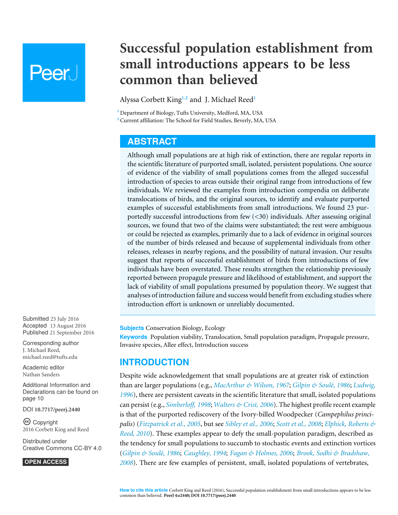# **Peer**

# **Successful population establishment from small introductions appears to be less common than believed**

<span id="page-0-3"></span><span id="page-0-2"></span>Alyssa Corbett King**[1](#page-0-0)**,**[2](#page-0-1)** and J. Michael Reed**[1](#page-0-0)**

<span id="page-0-1"></span><span id="page-0-0"></span>**<sup>1</sup>** Department of Biology, Tufts University, Medford, MA, USA **<sup>2</sup>** Current affiliation: The School for Field Studies, Beverly, MA, USA

# **ABSTRACT**

Although small populations are at high risk of extinction, there are regular reports in the scientific literature of purported small, isolated, persistent populations. One source of evidence of the viability of small populations comes from the alleged successful introduction of species to areas outside their original range from introductions of few individuals. We reviewed the examples from introduction compendia on deliberate translocations of birds, and the original sources, to identify and evaluate purported examples of successful establishments from small introductions. We found 23 purportedly successful introductions from few (<30) individuals. After assessing original sources, we found that two of the claims were substantiated; the rest were ambiguous or could be rejected as examples, primarily due to a lack of evidence in original sources of the number of birds released and because of supplemental individuals from other releases, releases in nearby regions, and the possibility of natural invasion. Our results suggest that reports of successful establishment of birds from introductions of few individuals have been overstated. These results strengthen the relationship previously reported between propagule pressure and likelihood of establishment, and support the lack of viability of small populations presumed by population theory. We suggest that analyses of introduction failure and success would benefit from excluding studies where introduction effort is unknown or unreliably documented.

**Subjects** Conservation Biology, Ecology

**Keywords** Population viability, Translocation, Small population paradigm, Propagule pressure, Invasive species, Allee effect, Introduction success

# **INTRODUCTION**

Despite wide acknowledgement that small populations are at greater risk of extinction than are larger populations (e.g., *[MacArthur & Wilson, 1967](#page-11-0)*; *[Gilpin & Soulé, 1986](#page-11-1)*; *[Ludwig,](#page-11-2) [1996](#page-11-2)*), there are persistent caveats in the scientific literature that small, isolated populations can persist (e.g., *[Simberloff, 1998](#page-12-0)*; *[Walters & Crist, 2006](#page-13-0)*). The highest profile recent example is that of the purported rediscovery of the Ivory-billed Woodpecker (*Campephilus principalis*) (*[Fitzpatrick et al., 2005](#page-10-0)*, but see *[Sibley et al., 2006](#page-12-1)*; *[Scott et al., 2008](#page-12-2)*; *[Elphick, Roberts &](#page-10-1) [Reed, 2010](#page-10-1)*). These examples appear to defy the small-population paradigm, described as the tendency for small populations to succumb to stochastic events and extinction vortices (*[Gilpin & Soulé, 1986](#page-11-1)*; *[Caughley, 1994](#page-10-2)*; *[Fagan & Holmes, 2006](#page-10-3)*; *[Brook, Sodhi & Bradshaw,](#page-10-4) [2008](#page-10-4)*). There are few examples of persistent, small, isolated populations of vertebrates,

Submitted 25 July 2016 Accepted 13 August 2016 Published 21 September 2016

Corresponding author J. Michael Reed, [michael.reed@tufts.edu](mailto:michael.reed@tufts.edu)

[Academic editor](https://peerj.com/academic-boards/editors/) [Nathan Sanders](https://peerj.com/academic-boards/editors/)

[Additional Information and](#page-9-0) [Declarations can be found on](#page-9-0) [page 10](#page-9-0)

DOI **[10.7717/peerj.2440](http://dx.doi.org/10.7717/peerj.2440)**

Copyright 2016 Corbett King and Reed

[Distributed under](http://creativecommons.org/licenses/by/4.0/) [Creative Commons CC-BY 4.0](http://creativecommons.org/licenses/by/4.0/)

#### **OPEN ACCESS**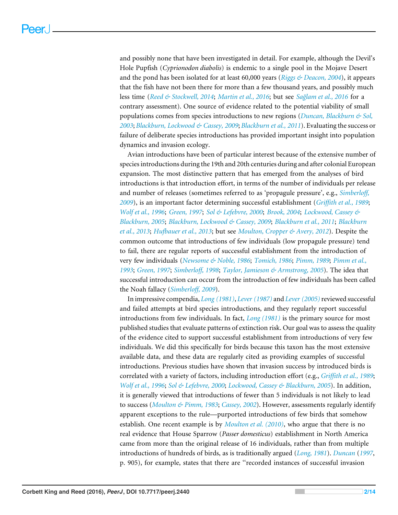and possibly none that have been investigated in detail. For example, although the Devil's Hole Pupfish (*Cyprionodon diabolis*) is endemic to a single pool in the Mojave Desert and the pond has been isolated for at least 60,000 years (*[Riggs & Deacon, 2004](#page-12-3)*), it appears that the fish have not been there for more than a few thousand years, and possibly much less time (*[Reed & Stockwell, 2014](#page-12-4)*; *[Martin et al., 2016](#page-11-3)*; but see *[Sağlam et al., 2016](#page-12-5)* for a contrary assessment). One source of evidence related to the potential viability of small populations comes from species introductions to new regions (*[Duncan, Blackburn & Sol,](#page-10-5) [2003](#page-10-5)*; *[Blackburn, Lockwood & Cassey, 2009](#page-9-1)*; *[Blackburn et al., 2011](#page-9-2)*). Evaluating the success or failure of deliberate species introductions has provided important insight into population dynamics and invasion ecology.

Avian introductions have been of particular interest because of the extensive number of species introductions during the 19th and 20th centuries during and after colonial European expansion. The most distinctive pattern that has emerged from the analyses of bird introductions is that introduction effort, in terms of the number of individuals per release and number of releases (sometimes referred to as 'propagule pressure', e.g., *[Simberloff,](#page-12-6) [2009](#page-12-6)*), is an important factor determining successful establishment (*[Griffith et al., 1989](#page-11-4)*; *[Wolf et al., 1996](#page-13-1)*; *[Green, 1997](#page-11-5)*; *[Sol & Lefebvre, 2000](#page-13-2)*; *[Brook, 2004](#page-10-6)*; *[Lockwood, Cassey &](#page-11-6) [Blackburn, 2005](#page-11-6)*; *[Blackburn, Lockwood & Cassey, 2009](#page-9-1)*; *[Blackburn et al., 2011](#page-9-2)*; *[Blackburn](#page-10-7) [et al., 2013](#page-10-7)*; *[Hufbauer et al., 2013](#page-11-7)*; but see *[Moulton, Cropper & Avery, 2012](#page-11-8)*). Despite the common outcome that introductions of few individuals (low propagule pressure) tend to fail, there are regular reports of successful establishment from the introduction of very few individuals (*[Newsome & Noble, 1986](#page-12-7)*; *[Tomich, 1986](#page-13-3)*; *[Pimm, 1989](#page-12-8)*; *[Pimm et al.,](#page-12-9) [1993](#page-12-9)*; *[Green, 1997](#page-11-5)*; *[Simberloff, 1998](#page-12-0)*; *[Taylor, Jamieson & Armstrong, 2005](#page-13-4)*). The idea that successful introduction can occur from the introduction of few individuals has been called the Noah fallacy (*[Simberloff, 2009](#page-12-6)*).

In impressive compendia, *[Long \(1981\)](#page-11-9)*, *[Lever \(1987\)](#page-11-10)* and *[Lever \(2005\)](#page-11-11)*reviewed successful and failed attempts at bird species introductions, and they regularly report successful introductions from few individuals. In fact, *[Long \(1981\)](#page-11-9)* is the primary source for most published studies that evaluate patterns of extinction risk. Our goal was to assess the quality of the evidence cited to support successful establishment from introductions of very few individuals. We did this specifically for birds because this taxon has the most extensive available data, and these data are regularly cited as providing examples of successful introductions. Previous studies have shown that invasion success by introduced birds is correlated with a variety of factors, including introduction effort (e.g., *[Griffith et al., 1989](#page-11-4)*; *[Wolf et al., 1996](#page-13-1)*; *[Sol & Lefebvre, 2000](#page-13-2)*; *[Lockwood, Cassey & Blackburn, 2005](#page-11-6)*). In addition, it is generally viewed that introductions of fewer than 5 individuals is not likely to lead to success (*[Moulton & Pimm, 1983](#page-11-12)*; *[Cassey, 2002](#page-10-8)*). However, assessments regularly identify apparent exceptions to the rule—purported introductions of few birds that somehow establish. One recent example is by *[Moulton et al. \(2010\)](#page-11-13)*, who argue that there is no real evidence that House Sparrow (*Passer domesticus*) establishment in North America came from more than the original release of 16 individuals, rather than from multiple introductions of hundreds of birds, as is traditionally argued (*[Long, 1981](#page-11-9)*). *[Duncan](#page-10-9)* (*[1997](#page-10-9)*, p. 905), for example, states that there are ''recorded instances of successful invasion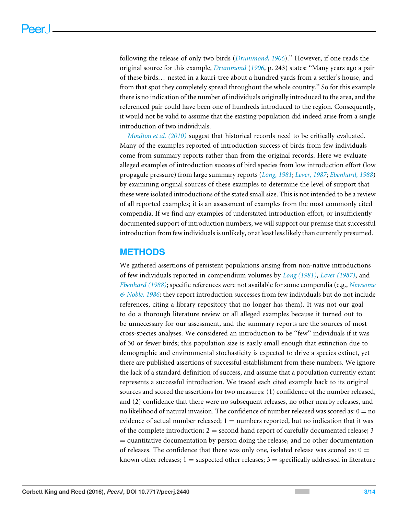following the release of only two birds (*[Drummond, 1906](#page-10-10)*).'' However, if one reads the original source for this example, *[Drummond](#page-10-10)* (*[1906](#page-10-10)*, p. 243) states: ''Many years ago a pair of these birds... nested in a kauri-tree about a hundred yards from a settler's house, and from that spot they completely spread throughout the whole country.'' So for this example there is no indication of the number of individuals originally introduced to the area, and the referenced pair could have been one of hundreds introduced to the region. Consequently, it would not be valid to assume that the existing population did indeed arise from a single introduction of two individuals.

*[Moulton et al. \(2010\)](#page-11-13)* suggest that historical records need to be critically evaluated. Many of the examples reported of introduction success of birds from few individuals come from summary reports rather than from the original records. Here we evaluate alleged examples of introduction success of bird species from low introduction effort (low propagule pressure) from large summary reports (*[Long, 1981](#page-11-9)*; *[Lever, 1987](#page-11-10)*; *[Ebenhard, 1988](#page-10-11)*) by examining original sources of these examples to determine the level of support that these were isolated introductions of the stated small size. This is not intended to be a review of all reported examples; it is an assessment of examples from the most commonly cited compendia. If we find any examples of understated introduction effort, or insufficiently documented support of introduction numbers, we will support our premise that successful introduction from few individuals is unlikely, or at least less likely than currently presumed.

# **METHODS**

We gathered assertions of persistent populations arising from non-native introductions of few individuals reported in compendium volumes by *[Long \(1981\)](#page-11-9)*, *[Lever \(1987\)](#page-11-10)*, and *[Ebenhard \(1988\)](#page-10-11)*; specific references were not available for some compendia (e.g., *[Newsome](#page-12-7) [& Noble, 1986](#page-12-7)*; they report introduction successes from few individuals but do not include references, citing a library repository that no longer has them). It was not our goal to do a thorough literature review or all alleged examples because it turned out to be unnecessary for our assessment, and the summary reports are the sources of most cross-species analyses. We considered an introduction to be ''few'' individuals if it was of 30 or fewer birds; this population size is easily small enough that extinction due to demographic and environmental stochasticity is expected to drive a species extinct, yet there are published assertions of successful establishment from these numbers. We ignore the lack of a standard definition of success, and assume that a population currently extant represents a successful introduction. We traced each cited example back to its original sources and scored the assertions for two measures: (1) confidence of the number released, and (2) confidence that there were no subsequent releases, no other nearby releases, and no likelihood of natural invasion. The confidence of number released was scored as:  $0 =$  no evidence of actual number released;  $1 =$  numbers reported, but no indication that it was of the complete introduction;  $2 =$  second hand report of carefully documented release; 3 = quantitative documentation by person doing the release, and no other documentation of releases. The confidence that there was only one, isolated release was scored as:  $0 =$ known other releases;  $1 =$  suspected other releases;  $3 =$  specifically addressed in literature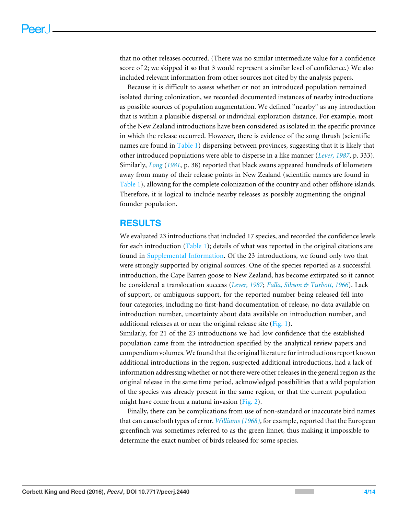that no other releases occurred. (There was no similar intermediate value for a confidence score of 2; we skipped it so that 3 would represent a similar level of confidence.) We also included relevant information from other sources not cited by the analysis papers.

Because it is difficult to assess whether or not an introduced population remained isolated during colonization, we recorded documented instances of nearby introductions as possible sources of population augmentation. We defined ''nearby'' as any introduction that is within a plausible dispersal or individual exploration distance. For example, most of the New Zealand introductions have been considered as isolated in the specific province in which the release occurred. However, there is evidence of the song thrush (scientific names are found in [Table 1\)](#page-4-0) dispersing between provinces, suggesting that it is likely that other introduced populations were able to disperse in a like manner (*[Lever, 1987](#page-11-10)*, p. 333). Similarly, *[Long](#page-11-9)* (*[1981](#page-11-9)*, p. 38) reported that black swans appeared hundreds of kilometers away from many of their release points in New Zealand (scientific names are found in [Table 1\)](#page-4-0), allowing for the complete colonization of the country and other offshore islands. Therefore, it is logical to include nearby releases as possibly augmenting the original founder population.

# **RESULTS**

We evaluated 23 introductions that included 17 species, and recorded the confidence levels for each introduction  $(Table 1)$ ; details of what was reported in the original citations are found in [Supplemental Information.](http://dx.doi.org/10.7717/peerj.2440/supp-1) Of the 23 introductions, we found only two that were strongly supported by original sources. One of the species reported as a successful introduction, the Cape Barren goose to New Zealand, has become extirpated so it cannot be considered a translocation success (*[Lever, 1987](#page-11-10)*; *[Falla, Sibson & Turbott, 1966](#page-10-12)*). Lack of support, or ambiguous support, for the reported number being released fell into four categories, including no first-hand documentation of release, no data available on introduction number, uncertainty about data available on introduction number, and additional releases at or near the original release site [\(Fig. 1\)](#page-6-0).

Similarly, for 21 of the 23 introductions we had low confidence that the established population came from the introduction specified by the analytical review papers and compendium volumes.We found that the original literature for introductions report known additional introductions in the region, suspected additional introductions, had a lack of information addressing whether or not there were other releases in the general region as the original release in the same time period, acknowledged possibilities that a wild population of the species was already present in the same region, or that the current population might have come from a natural invasion [\(Fig. 2\)](#page-6-1).

Finally, there can be complications from use of non-standard or inaccurate bird names that can cause both types of error. *[Williams \(1968\)](#page-13-5)*, for example, reported that the European greenfinch was sometimes referred to as the green linnet, thus making it impossible to determine the exact number of birds released for some species.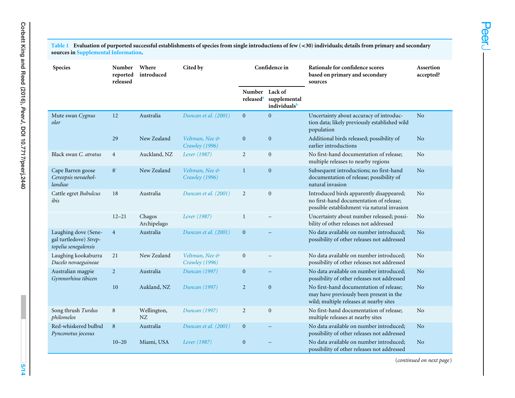<span id="page-4-0"></span>Table 1 Evaluation of purported successful establishments of species from single introductions of few (<30) individuals; details from primary and secondary<br>sources in <mark>[Supplemental](http://dx.doi.org/10.7717/peerj.2440/supp-1) Information.</mark>

| <b>Species</b>                                                         | <b>Number</b><br>reported<br>released | Where<br>introduced   | Cited by                         | Confidence in                          |                                         | Rationale for confidence scores<br>based on primary and secondary<br>sources                                                       | Assertion<br>accepted? |
|------------------------------------------------------------------------|---------------------------------------|-----------------------|----------------------------------|----------------------------------------|-----------------------------------------|------------------------------------------------------------------------------------------------------------------------------------|------------------------|
|                                                                        |                                       |                       |                                  | <b>Number</b><br>released <sup>a</sup> | Lack of<br>supplemental<br>individualsb |                                                                                                                                    |                        |
| Mute swan Cygnus<br>olor                                               | 12                                    | Australia             | Duncan et al. (2001)             | $\mathbf{0}$                           | $\boldsymbol{0}$                        | Uncertainty about accuracy of introduc-<br>tion data; likely previously established wild<br>population                             | No                     |
|                                                                        | 29                                    | New Zealand           | Veltman, Nee &<br>Crawley (1996) | $\boldsymbol{0}$                       | $\boldsymbol{0}$                        | Additional birds released; possibility of<br>earlier introductions                                                                 | No                     |
| Black swan C. atratus                                                  | $\overline{4}$                        | Auckland, NZ          | Lever (1987)                     | $\overline{2}$                         | $\boldsymbol{0}$                        | No first-hand documentation of release;<br>multiple releases to nearby regions                                                     | No                     |
| Cape Barren goose<br>Cereopsis novaehol-<br>landiae                    | 8 <sup>c</sup>                        | New Zealand           | Veltman, Nee &<br>Crawley (1996) | $\mathbf{1}$                           | $\boldsymbol{0}$                        | Subsequent introductions; no first-hand<br>documentation of release; possibility of<br>natural invasion                            | N <sub>o</sub>         |
| Cattle egret Bubulcus<br>ibis                                          | 18                                    | Australia             | Duncan et al. (2001)             | $\overline{2}$                         | $\boldsymbol{0}$                        | Introduced birds apparently disappeared;<br>no first-hand documentation of release;<br>possible establishment via natural invasion | No                     |
|                                                                        | $12 - 21$                             | Chagos<br>Archipelago | Lever (1987)                     | $\mathbf{1}$                           |                                         | Uncertainty about number released; possi-<br>bility of other releases not addressed                                                | No                     |
| Laughing dove (Sene-<br>gal turtledove) Strep-<br>topelia senegalensis | $\overline{4}$                        | Australia             | Duncan et al. (2001)             | $\mathbf{0}$                           |                                         | No data available on number introduced;<br>possibility of other releases not addressed                                             | No                     |
| Laughing kookaburra<br>Dacelo novaeguineae                             | 21                                    | New Zealand           | Veltman, Nee &<br>Crawley (1996) | $\boldsymbol{0}$                       |                                         | No data available on number introduced;<br>possibility of other releases not addressed                                             | No                     |
| Australian magpie<br>Gymnorhina tibicen                                | $\overline{2}$                        | Australia             | Duncan (1997)                    | $\mathbf{0}$                           |                                         | No data available on number introduced:<br>possibility of other releases not addressed                                             | No                     |
|                                                                        | 10                                    | Aukland, NZ           | Duncan (1997)                    | $\overline{2}$                         | $\mathbf{0}$                            | No first-hand documentation of release;<br>may have previously been present in the<br>wild; multiple releases at nearby sites      | No                     |
| Song thrush Turdus<br>philomelos                                       | 8                                     | Wellington,<br>NZ     | Duncan (1997)                    | $\overline{2}$                         | $\boldsymbol{0}$                        | No first-hand documentation of release;<br>multiple releases at nearby sites                                                       | No                     |
| Red-whiskered bulbul<br>Pynconotus jocosus                             | 8                                     | Australia             | Duncan et al. (2001)             | $\boldsymbol{0}$                       |                                         | No data available on number introduced;<br>possibility of other releases not addressed                                             | No                     |
|                                                                        | $10 - 20$                             | Miami, USA            | Lever (1987)                     | $\boldsymbol{0}$                       |                                         | No data available on number introduced;<br>possibility of other releases not addressed                                             | No                     |

(*continued on next page*)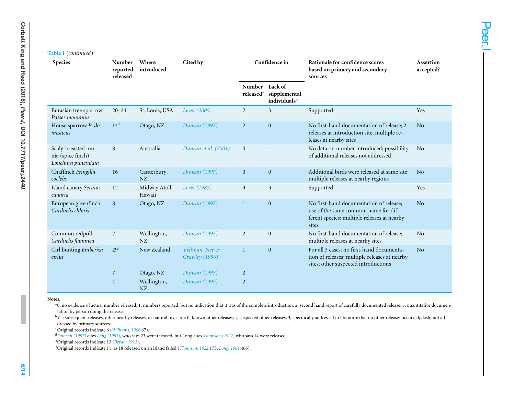### **Table 1** (*continued*)

| <b>Species</b>                                                 | Number<br>reported<br>released | Where<br>introduced     | Cited by                         | Confidence in                   |                                                     | Rationale for confidence scores<br>based on primary and secondary<br>sources                                                            | Assertion<br>accepted? |
|----------------------------------------------------------------|--------------------------------|-------------------------|----------------------------------|---------------------------------|-----------------------------------------------------|-----------------------------------------------------------------------------------------------------------------------------------------|------------------------|
|                                                                |                                |                         |                                  | Number<br>released <sup>a</sup> | Lack of<br>supplemental<br>individuals <sup>b</sup> |                                                                                                                                         |                        |
| Eurasian tree sparrow<br>Passer montanus                       | $20 - 24$                      | St. Louis, USA          | Lever (2005)                     | $\overline{2}$                  | $\mathfrak{Z}$                                      | Supported                                                                                                                               | Yes                    |
| House sparrow P. do-<br>mesticus                               | 14 <sup>d</sup>                | Otago, NZ               | Duncan (1997)                    | $\overline{2}$                  | $\mathbf{0}$                                        | No first-hand documentation of release; 2<br>releases at introduction site; multiple re-<br>leases at nearby sites                      | No                     |
| Scaly-breasted mu-<br>nia (spice finch)<br>Lonchura punctulata | 8                              | Australia               | Duncan et al. (2001)             | $\mathbf{0}$                    |                                                     | No data on number introduced; possibility<br>of additional releases not addressed                                                       | N <sub>o</sub>         |
| Chaffinch Fringilla<br>coelebs                                 | 16                             | Canterbury,<br>NZ       | Duncan (1997)                    | $\mathbf{0}$                    | $\mathbf{0}$                                        | Additional birds were released at same site:<br>multiple releases at nearby regions                                                     | No                     |
| Island canary Serinus<br>canaria                               | 12 <sup>e</sup>                | Midway Atoll,<br>Hawaii | Lever (1987)                     | 3                               | 3                                                   | Supported                                                                                                                               | Yes                    |
| European greenfinch<br>Carduelis chloris                       | 8                              | Otago, NZ               | Duncan (1997)                    | $\mathbf{1}$                    | $\mathbf{0}$                                        | No first-hand documentation of release;<br>use of the same common name for dif-<br>ferent species; multiple releases at nearby<br>sites | No                     |
| Common redpoll<br>Carduelis flammea                            | 2                              | Wellington,<br>NZ       | Duncan (1997)                    | 2                               | $\overline{0}$                                      | No first-hand documentation of release;<br>multiple releases at nearby sites                                                            | No                     |
| Cirl bunting Emberiza<br>cirlus                                | 29 <sup>t</sup>                | New Zealand             | Veltman, Nee &<br>Crawley (1996) | $\mathbf{1}$                    | $\mathbf{0}$                                        | For all 3 cases: no first-hand documenta-<br>tion of releases; multiple releases at nearby<br>sites; other suspected introductions      | N <sub>o</sub>         |
|                                                                | 7                              | Otago, NZ               | Duncan (1997)                    | $\overline{c}$                  |                                                     |                                                                                                                                         |                        |
|                                                                | $\overline{4}$                 | Wellington,<br>NZ       | Duncan (1997)                    | $\overline{c}$                  |                                                     |                                                                                                                                         |                        |

#### **Notes.**

<sup>a</sup>0, no evidence of actual number released; 1, numbers reported, but no indication that it was of the complete introduction; 2, second hand report of carefully documented release; 3, quantitative documentation by person doing the release.

<sup>b</sup>Via subsequent releases, other nearby releases, or natural invasion: 0, known other releases; 1, suspected other releases; 3, specifically addressed in literature that no other releases occurred; dash, not addressed by primary sources.

<sup>c</sup>Original records indicate <sup>6</sup> (*[Williams,](#page-13-7) <sup>1968</sup>*:67).

<span id="page-5-5"></span><span id="page-5-4"></span><span id="page-5-3"></span><span id="page-5-2"></span><span id="page-5-1"></span><span id="page-5-0"></span><sup>d</sup>*Duncan [\(1997\)](#page-10-14)* cites *Long [\(1981\)](#page-11-16)*, who says <sup>23</sup> were released, but Long cites *[Thomson](#page-13-8) (1922)* who says <sup>14</sup> were released.

<sup>e</sup>Original records indicate <sup>13</sup> (*[Bryan,](#page-10-15) <sup>1912</sup>*).

<sup>f</sup>Original records indicate 11, as <sup>18</sup> released on an island failed (*[Thomson,](#page-13-8) <sup>1922</sup>*:175, *[Long,](#page-11-16) <sup>1981</sup>*:466).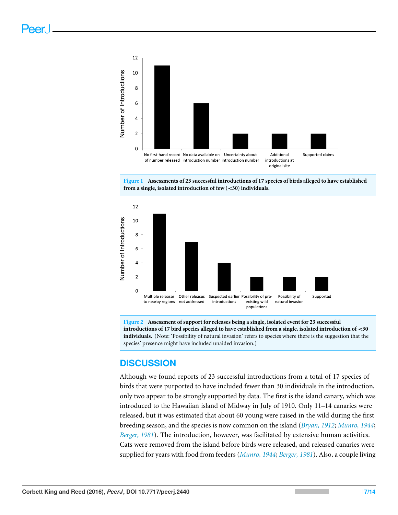<span id="page-6-0"></span>



<span id="page-6-1"></span>

**Figure 2 Assessment of support for releases being a single, isolated event for 23 successful introductions of 17 bird species alleged to have established from a single, isolated introduction of** <**30 individuals.** (Note: 'Possibility of natural invasion' refers to species where there is the suggestion that the species' presence might have included unaided invasion.)

# **DISCUSSION**

Although we found reports of 23 successful introductions from a total of 17 species of birds that were purported to have included fewer than 30 individuals in the introduction, only two appear to be strongly supported by data. The first is the island canary, which was introduced to the Hawaiian island of Midway in July of 1910. Only 11–14 canaries were released, but it was estimated that about 60 young were raised in the wild during the first breeding season, and the species is now common on the island (*[Bryan, 1912](#page-10-16)*; *[Munro, 1944](#page-11-17)*; *[Berger, 1981](#page-9-3)*). The introduction, however, was facilitated by extensive human activities. Cats were removed from the island before birds were released, and released canaries were supplied for years with food from feeders (*[Munro, 1944](#page-11-17)*; *[Berger, 1981](#page-9-3)*). Also, a couple living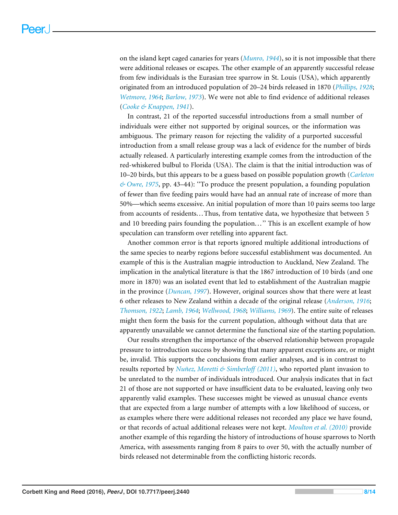on the island kept caged canaries for years (*[Munro, 1944](#page-11-17)*), so it is not impossible that there were additional releases or escapes. The other example of an apparently successful release from few individuals is the Eurasian tree sparrow in St. Louis (USA), which apparently originated from an introduced population of 20–24 birds released in 1870 (*[Phillips, 1928](#page-12-10)*; *[Wetmore, 1964](#page-13-9)*; *[Barlow, 1973](#page-9-4)*). We were not able to find evidence of additional releases (*[Cooke & Knappen, 1941](#page-10-17)*).

In contrast, 21 of the reported successful introductions from a small number of individuals were either not supported by original sources, or the information was ambiguous. The primary reason for rejecting the validity of a purported successful introduction from a small release group was a lack of evidence for the number of birds actually released. A particularly interesting example comes from the introduction of the red-whiskered bulbul to Florida (USA). The claim is that the initial introduction was of 10–20 birds, but this appears to be a guess based on possible population growth (*[Carleton](#page-10-18) [& Owre, 1975](#page-10-18)*, pp. 43–44): ''To produce the present population, a founding population of fewer than five feeding pairs would have had an annual rate of increase of more than 50%—which seems excessive. An initial population of more than 10 pairs seems too large from accounts of residents...Thus, from tentative data, we hypothesize that between 5 and 10 breeding pairs founding the population...'' This is an excellent example of how speculation can transform over retelling into apparent fact.

Another common error is that reports ignored multiple additional introductions of the same species to nearby regions before successful establishment was documented. An example of this is the Australian magpie introduction to Auckland, New Zealand. The implication in the analytical literature is that the 1867 introduction of 10 birds (and one more in 1870) was an isolated event that led to establishment of the Australian magpie in the province (*[Duncan, 1997](#page-10-9)*). However, original sources show that there were at least 6 other releases to New Zealand within a decade of the original release (*[Anderson, 1916](#page-9-5)*; *[Thomson, 1922](#page-13-10)*; *[Lamb, 1964](#page-11-18)*; *[Wellwood, 1968](#page-13-11)*; *[Williams, 1969](#page-13-12)*). The entire suite of releases might then form the basis for the current population, although without data that are apparently unavailable we cannot determine the functional size of the starting population.

Our results strengthen the importance of the observed relationship between propagule pressure to introduction success by showing that many apparent exceptions are, or might be, invalid. This supports the conclusions from earlier analyses, and is in contrast to results reported by *[Nuñez, Moretti & Simberloff](#page-12-8) [\(2011\)](#page-12-8)*, who reported plant invasion to be unrelated to the number of individuals introduced. Our analysis indicates that in fact 21 of those are not supported or have insufficient data to be evaluated, leaving only two apparently valid examples. These successes might be viewed as unusual chance events that are expected from a large number of attempts with a low likelihood of success, or as examples where there were additional releases not recorded any place we have found, or that records of actual additional releases were not kept. *[Moulton et al. \(2010\)](#page-11-13)* provide another example of this regarding the history of introductions of house sparrows to North America, with assessments ranging from 8 pairs to over 50, with the actually number of birds released not determinable from the conflicting historic records.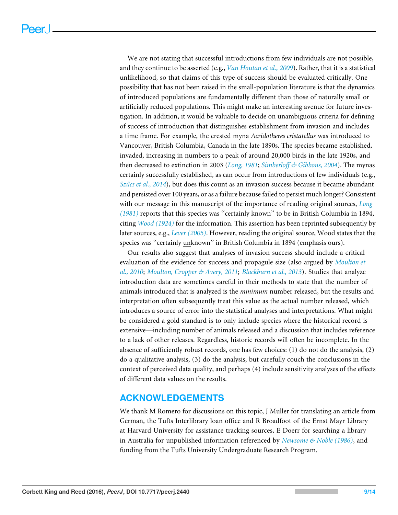We are not stating that successful introductions from few individuals are not possible, and they continue to be asserted (e.g., *[Van Houtan et al., 2009](#page-13-13)*). Rather, that it is a statistical unlikelihood, so that claims of this type of success should be evaluated critically. One possibility that has not been raised in the small-population literature is that the dynamics of introduced populations are fundamentally different than those of naturally small or artificially reduced populations. This might make an interesting avenue for future investigation. In addition, it would be valuable to decide on unambiguous criteria for defining of success of introduction that distinguishes establishment from invasion and includes a time frame. For example, the crested myna *Acridotheres cristatellus* was introduced to Vancouver, British Columbia, Canada in the late 1890s. The species became established, invaded, increasing in numbers to a peak of around 20,000 birds in the late 1920s, and then decreased to extinction in 2003 (*[Long, 1981](#page-11-9)*; *[Simberloff & Gibbons, 2004](#page-12-11)*). The mynas certainly successfully established, as can occur from introductions of few individuals (e.g., *[Szűcs et al., 2014](#page-13-14)*), but does this count as an invasion success because it became abundant and persisted over 100 years, or as a failure because failed to persist much longer? Consistent with our message in this manuscript of the importance of reading original sources, *[Long](#page-11-9) [\(1981\)](#page-11-9)* reports that this species was ''certainly known'' to be in British Columbia in 1894, citing *[Wood \(1924\)](#page-13-15)* for the information. This assertion has been reprinted subsequently by later sources, e.g., *[Lever \(2005\)](#page-11-11)*. However, reading the original source, Wood states that the species was ''certainly unknown'' in British Columbia in 1894 (emphasis ours).

Our results also suggest that analyses of invasion success should include a critical evaluation of the evidence for success and propagule size (also argued by *[Moulton et](#page-11-13) [al., 2010](#page-11-13)*; *[Moulton, Cropper & Avery, 2011](#page-11-19)*; *[Blackburn et al., 2013](#page-10-7)*). Studies that analyze introduction data are sometimes careful in their methods to state that the number of animals introduced that is analyzed is the *minimum* number released, but the results and interpretation often subsequently treat this value as the actual number released, which introduces a source of error into the statistical analyses and interpretations. What might be considered a gold standard is to only include species where the historical record is extensive—including number of animals released and a discussion that includes reference to a lack of other releases. Regardless, historic records will often be incomplete. In the absence of sufficiently robust records, one has few choices: (1) do not do the analysis, (2) do a qualitative analysis, (3) do the analysis, but carefully couch the conclusions in the context of perceived data quality, and perhaps (4) include sensitivity analyses of the effects of different data values on the results.

# **ACKNOWLEDGEMENTS**

We thank M Romero for discussions on this topic, J Muller for translating an article from German, the Tufts Interlibrary loan office and R Broadfoot of the Ernst Mayr Library at Harvard University for assistance tracking sources, E Doerr for searching a library in Australia for unpublished information referenced by *[Newsome & Noble \(1986\)](#page-12-7)*, and funding from the Tufts University Undergraduate Research Program.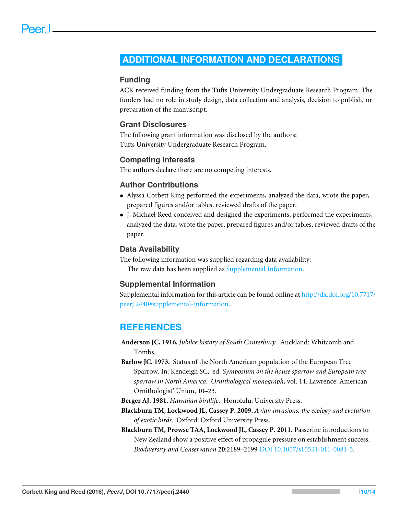# <span id="page-9-0"></span>**ADDITIONAL INFORMATION AND DECLARATIONS**

#### **Funding**

ACK received funding from the Tufts University Undergraduate Research Program. The funders had no role in study design, data collection and analysis, decision to publish, or preparation of the manuscript.

#### **Grant Disclosures**

The following grant information was disclosed by the authors: Tufts University Undergraduate Research Program.

#### **Competing Interests**

The authors declare there are no competing interests.

#### **Author Contributions**

- [Alyssa Corbett King](#page-0-2) performed the experiments, analyzed the data, wrote the paper, prepared figures and/or tables, reviewed drafts of the paper.
- [J. Michael Reed](#page-0-3) conceived and designed the experiments, performed the experiments, analyzed the data, wrote the paper, prepared figures and/or tables, reviewed drafts of the paper.

#### **Data Availability**

The following information was supplied regarding data availability: The raw data has been supplied as [Supplemental Information.](http://dx.doi.org/10.7717/peerj.2440/supp-1)

#### **Supplemental Information**

Supplemental information for this article can be found online at [http://dx.doi.org/10.7717/](http://dx.doi.org/10.7717/peerj.2440#supplemental-information) [peerj.2440#supplemental-information.](http://dx.doi.org/10.7717/peerj.2440#supplemental-information)

# **REFERENCES**

- <span id="page-9-5"></span>**Anderson JC. 1916.** *Jubilee history of South Canterbury*. Auckland: Whitcomb and Tombs.
- <span id="page-9-4"></span>**Barlow JC. 1973.** Status of the North American population of the European Tree Sparrow. In: Kendeigh SC, ed. *Symposium on the house sparrow and European tree sparrow in North America*. *Ornithological monograph*, vol. 14. Lawrence: American Ornithologist' Union, 10–23.
- <span id="page-9-3"></span>**Berger AJ. 1981.** *Hawaiian birdlife*. Honolulu: University Press.
- <span id="page-9-1"></span>**Blackburn TM, Lockwood JL, Cassey P. 2009.** *Avian invasions: the ecology and evolution of exotic birds*. Oxford: Oxford University Press.
- <span id="page-9-2"></span>**Blackburn TM, Prowse TAA, Lockwood JL, Cassey P. 2011.** Passerine introductions to New Zealand show a positive effect of propagule pressure on establishment success. *Biodiversity and Conservation* **20**:2189–2199 [DOI 10.1007/s10531-011-0081-5.](http://dx.doi.org/10.1007/s10531-011-0081-5)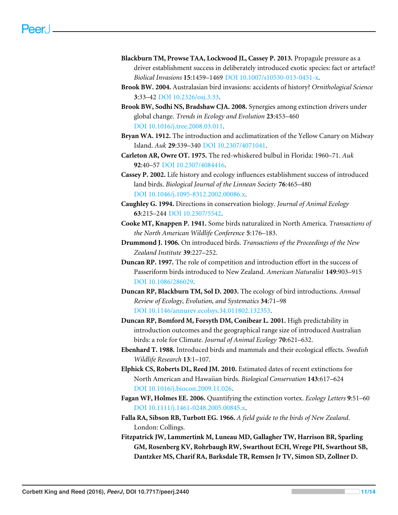- <span id="page-10-7"></span>**Blackburn TM, Prowse TAA, Lockwood JL, Cassey P. 2013.** Propagule pressure as a driver establishment success in deliberately introduced exotic species: fact or artefact? *Biolical Invasions* **15**:1459–1469 [DOI 10.1007/s10530-013-0451-x.](http://dx.doi.org/10.1007/s10530-013-0451-x)
- <span id="page-10-6"></span>**Brook BW. 2004.** Australasian bird invasions: accidents of history? *Ornithological Science* **3**:33–42 [DOI 10.2326/osj.3.33.](http://dx.doi.org/10.2326/osj.3.33)
- <span id="page-10-15"></span><span id="page-10-14"></span><span id="page-10-4"></span>**Brook BW, Sodhi NS, Bradshaw CJA. 2008.** Synergies among extinction drivers under global change. *Trends in Ecology and Evolution* **23**:453–460 [DOI 10.1016/j.tree.2008.03.011.](http://dx.doi.org/10.1016/j.tree.2008.03.011)
- <span id="page-10-16"></span><span id="page-10-13"></span>**Bryan WA. 1912.** The introduction and acclimatization of the Yellow Canary on Midway Island. *Auk* **29**:339–340 [DOI 10.2307/4071041.](http://dx.doi.org/10.2307/4071041)
- <span id="page-10-18"></span>**Carleton AR, Owre OT. 1975.** The red-whiskered bulbul in Florida: 1960–71. *Auk* **92**:40–57 [DOI 10.2307/4084416.](http://dx.doi.org/10.2307/4084416)
- <span id="page-10-8"></span>**Cassey P. 2002.** Life history and ecology influences establishment success of introduced land birds. *Biological Journal of the Linnean Society* **76**:465–480 [DOI 10.1046/j.1095-8312.2002.00086.x.](http://dx.doi.org/10.1046/j.1095-8312.2002.00086.x)
- <span id="page-10-2"></span>**Caughley G. 1994.** Directions in conservation biology. *Journal of Animal Ecology* **63**:215–244 [DOI 10.2307/5542.](http://dx.doi.org/10.2307/5542)
- <span id="page-10-17"></span>**Cooke MT, Knappen P. 1941.** Some birds naturalized in North America. *Transactions of the North American Wildlife Conference* **5**:176–183.
- <span id="page-10-10"></span>**Drummond J. 1906.** On introduced birds. *Transactions of the Proceedings of the New Zealand Institute* **39**:227–252.
- <span id="page-10-9"></span>**Duncan RP. 1997.** The role of competition and introduction effort in the success of Passeriform birds introduced to New Zealand. *American Naturalist* **149**:903–915 [DOI 10.1086/286029.](http://dx.doi.org/10.1086/286029)
- <span id="page-10-5"></span>**Duncan RP, Blackburn TM, Sol D. 2003.** The ecology of bird introductions. *Annual Review of Ecology, Evolution, and Systematics* **34**:71–98 [DOI 10.1146/annurev.ecolsys.34.011802.132353.](http://dx.doi.org/10.1146/annurev.ecolsys.34.011802.132353)
- **Duncan RP, Bomford M, Forsyth DM, Conibear L. 2001.** High predictability in introduction outcomes and the geographical range size of introduced Australian birds: a role for Climate. *Journal of Animal Ecology* **70**:621–632.
- <span id="page-10-11"></span>**Ebenhard T. 1988.** Introduced birds and mammals and their ecological effects. *Swedish Wildlife Research* **13**:1–107.
- <span id="page-10-1"></span>**Elphick CS, Roberts DL, Reed JM. 2010.** Estimated dates of recent extinctions for North American and Hawaiian birds. *Biological Conservation* **143**:617–624 [DOI 10.1016/j.biocon.2009.11.026.](http://dx.doi.org/10.1016/j.biocon.2009.11.026)
- <span id="page-10-3"></span>**Fagan WF, Holmes EE. 2006.** Quantifying the extinction vortex. *Ecology Letters* **9**:51–60 [DOI 10.1111/j.1461-0248.2005.00845.x.](http://dx.doi.org/10.1111/j.1461-0248.2005.00845.x)
- <span id="page-10-12"></span>**Falla RA, Sibson RB, Turbott EG. 1966.** *A field guide to the birds of New Zealand*. London: Collings.
- <span id="page-10-0"></span>**Fitzpatrick JW, Lammertink M, Luneau MD, Gallagher TW, Harrison BR, Sparling GM, Rosenberg KV, Rohrbaugh RW, Swarthout ECH, Wrege PH, Swarthout SB, Dantzker MS, Charif RA, Barksdale TR, Remsen Jr TV, Simon SD, Zollner D.**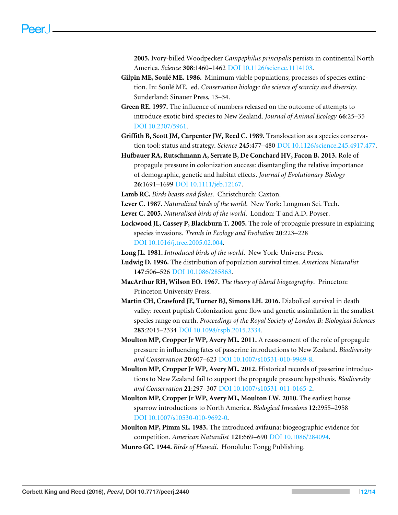<span id="page-11-15"></span><span id="page-11-14"></span>**2005.** Ivory-billed Woodpecker *Campephilus principalis* persists in continental North America. *Science* **308**:1460–1462 [DOI 10.1126/science.1114103.](http://dx.doi.org/10.1126/science.1114103)

- <span id="page-11-1"></span>**Gilpin ME, Soulé ME. 1986.** Minimum viable populations; processes of species extinction. In: Soulé ME, ed. *Conservation biology: the science of scarcity and diversity*. Sunderland: Sinauer Press, 13–34.
- <span id="page-11-16"></span><span id="page-11-5"></span>**Green RE. 1997.** The influence of numbers released on the outcome of attempts to introduce exotic bird species to New Zealand. *Journal of Animal Ecology* **66**:25–35 [DOI 10.2307/5961.](http://dx.doi.org/10.2307/5961)
- <span id="page-11-4"></span>**Griffith B, Scott JM, Carpenter JW, Reed C. 1989.** Translocation as a species conservation tool: status and strategy. *Science* **245**:477–480 [DOI 10.1126/science.245.4917.477.](http://dx.doi.org/10.1126/science.245.4917.477)
- <span id="page-11-7"></span>**Hufbauer RA, Rutschmann A, Serrate B, De Conchard HV, Facon B. 2013.** Role of propagule pressure in colonization success: disentangling the relative importance of demographic, genetic and habitat effects. *Journal of Evolutionary Biology* **26**:1691–1699 [DOI 10.1111/jeb.12167.](http://dx.doi.org/10.1111/jeb.12167)
- <span id="page-11-18"></span>**Lamb RC.** *Birds beasts and fishes*. Christchurch: Caxton.
- <span id="page-11-10"></span>**Lever C. 1987.** *Naturalized birds of the world*. New York: Longman Sci. Tech.
- <span id="page-11-11"></span>**Lever C. 2005.** *Naturalised birds of the world*. London: T and A.D. Poyser.
- <span id="page-11-6"></span>**Lockwood JL, Cassey P, Blackburn T. 2005.** The role of propagule pressure in explaining species invasions. *Trends in Ecology and Evolution* **20**:223–228 [DOI 10.1016/j.tree.2005.02.004.](http://dx.doi.org/10.1016/j.tree.2005.02.004)
- <span id="page-11-9"></span>**Long JL. 1981.** *Introduced birds of the world*. New York: Universe Press.
- <span id="page-11-2"></span>**Ludwig D. 1996.** The distribution of population survival times. *American Naturalist* **147**:506–526 [DOI 10.1086/285863.](http://dx.doi.org/10.1086/285863)
- <span id="page-11-0"></span>**MacArthur RH, Wilson EO. 1967.** *The theory of island biogeography*. Princeton: Princeton University Press.
- <span id="page-11-3"></span>**Martin CH, Crawford JE, Turner BJ, Simons LH. 2016.** Diabolical survival in death valley: recent pupfish Colonization gene flow and genetic assimilation in the smallest species range on earth. *Proceedings of the Royal Society of London B: Biological Sciences* **283**:2015–2334 [DOI 10.1098/rspb.2015.2334.](http://dx.doi.org/10.1098/rspb.2015.2334)
- <span id="page-11-19"></span>**Moulton MP, Cropper Jr WP, Avery ML. 2011.** A reassessment of the role of propagule pressure in influencing fates of passerine introductions to New Zealand. *Biodiversity and Conservation* **20**:607–623 [DOI 10.1007/s10531-010-9969-8.](http://dx.doi.org/10.1007/s10531-010-9969-8)
- <span id="page-11-8"></span>**Moulton MP, Cropper Jr WP, Avery ML. 2012.** Historical records of passerine introductions to New Zealand fail to support the propagule pressure hypothesis. *Biodiversity and Conservation* **21**:297–307 [DOI 10.1007/s10531-011-0165-2.](http://dx.doi.org/10.1007/s10531-011-0165-2)
- <span id="page-11-13"></span>**Moulton MP, Cropper Jr WP, Avery ML, Moulton LW. 2010.** The earliest house sparrow introductions to North America. *Biological Invasions* **12**:2955–2958 [DOI 10.1007/s10530-010-9692-0.](http://dx.doi.org/10.1007/s10530-010-9692-0)
- <span id="page-11-12"></span>**Moulton MP, Pimm SL. 1983.** The introduced avifauna: biogeographic evidence for competition. *American Naturalist* **121**:669–690 [DOI 10.1086/284094.](http://dx.doi.org/10.1086/284094)
- <span id="page-11-17"></span>**Munro GC. 1944.** *Birds of Hawaii*. Honolulu: Tongg Publishing.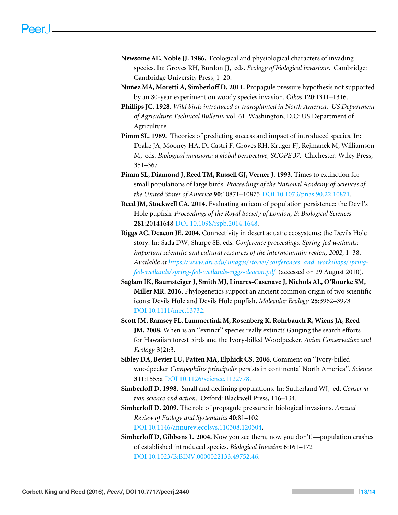- <span id="page-12-7"></span>**Newsome AE, Noble JJ. 1986.** Ecological and physiological characters of invading species. In: Groves RH, Burdon JJ, eds. *Ecology of biological invasions*. Cambridge: Cambridge University Press, 1–20.
- **Nuñez MA, Moretti A, Simberloff D. 2011.** Propagule pressure hypothesis not supported by an 80-year experiment on woody species invasion. *Oikos* **120**:1311–1316.
- <span id="page-12-10"></span>**Phillips JC. 1928.** *Wild birds introduced or transplanted in North America*. *US Department of Agriculture Technical Bulletin*, vol. 61. Washington, D.C: US Department of Agriculture.
- <span id="page-12-8"></span>**Pimm SL. 1989.** Theories of predicting success and impact of introduced species. In: Drake JA, Mooney HA, Di Castri F, Groves RH, Kruger FJ, Rejmanek M, Williamson M, eds. *Biological invasions: a global perspective, SCOPE 37*. Chichester: Wiley Press, 351–367.
- <span id="page-12-9"></span>**Pimm SL, Diamond J, Reed TM, Russell GJ, Verner J. 1993.** Times to extinction for small populations of large birds. *Proceedings of the National Academy of Sciences of the United States of America* **90**:10871–10875 [DOI 10.1073/pnas.90.22.10871.](http://dx.doi.org/10.1073/pnas.90.22.10871)
- <span id="page-12-4"></span>**Reed JM, Stockwell CA. 2014.** Evaluating an icon of population persistence: the Devil's Hole pupfish. *Proceedings of the Royal Society of London, B: Biological Sciences* **281**:20141648 [DOI 10.1098/rspb.2014.1648.](http://dx.doi.org/10.1098/rspb.2014.1648)
- <span id="page-12-3"></span>**Riggs AC, Deacon JE. 2004.** Connectivity in desert aquatic ecosystems: the Devils Hole story. In: Sada DW, Sharpe SE, eds. *Conference proceedings. Spring-fed wetlands: important scientific and cultural resources of the intermountain region, 2002*, 1–38. *Available at [https://www.dri.edu/images/ stories/ conferences\\_and\\_workshops/ spring](https://www.dri.edu/images/stories/conferences_and_workshops/spring-fed-wetlands/spring-fed-wetlands-riggs-deacon.pdf)[fed-wetlands/ spring-fed-wetlands-riggs-deacon.pdf](https://www.dri.edu/images/stories/conferences_and_workshops/spring-fed-wetlands/spring-fed-wetlands-riggs-deacon.pdf)* (accessed on 29 August 2010).
- <span id="page-12-5"></span>**Sağlam İK, Baumsteiger J, Smith MJ, Linares-Casenave J, Nichols AL, O'Rourke SM, Miller MR. 2016.** Phylogenetics support an ancient common origin of two scientific icons: Devils Hole and Devils Hole pupfish. *Molecular Ecology* **25**:3962–3973 [DOI 10.1111/mec.13732.](http://dx.doi.org/10.1111/mec.13732)
- <span id="page-12-2"></span>**Scott JM, Ramsey FL, Lammertink M, Rosenberg K, Rohrbauch R, Wiens JA, Reed JM. 2008.** When is an ''extinct'' species really extinct? Gauging the search efforts for Hawaiian forest birds and the Ivory-billed Woodpecker. *Avian Conservation and Ecology* **3(2)**:3.
- <span id="page-12-1"></span>**Sibley DA, Bevier LU, Patten MA, Elphick CS. 2006.** Comment on ''Ivory-billed woodpecker *Campephilus principalis* persists in continental North America''. *Science* **311**:1555a [DOI 10.1126/science.1122778.](http://dx.doi.org/10.1126/science.1122778)
- <span id="page-12-0"></span>**Simberloff D. 1998.** Small and declining populations. In: Sutherland WJ, ed. *Conservation science and action*. Oxford: Blackwell Press, 116–134.
- <span id="page-12-6"></span>**Simberloff D. 2009.** The role of propagule pressure in biological invasions. *Annual Review of Ecology and Systematics* **40**:81–102 [DOI 10.1146/annurev.ecolsys.110308.120304.](http://dx.doi.org/10.1146/annurev.ecolsys.110308.120304)
- <span id="page-12-11"></span>**Simberloff D, Gibbons L. 2004.** Now you see them, now you don't!—population crashes of established introduced species. *Biological Invasion* **6**:161–172 [DOI 10.1023/B:BINV.0000022133.49752.46.](http://dx.doi.org/10.1023/B:BINV.0000022133.49752.46)